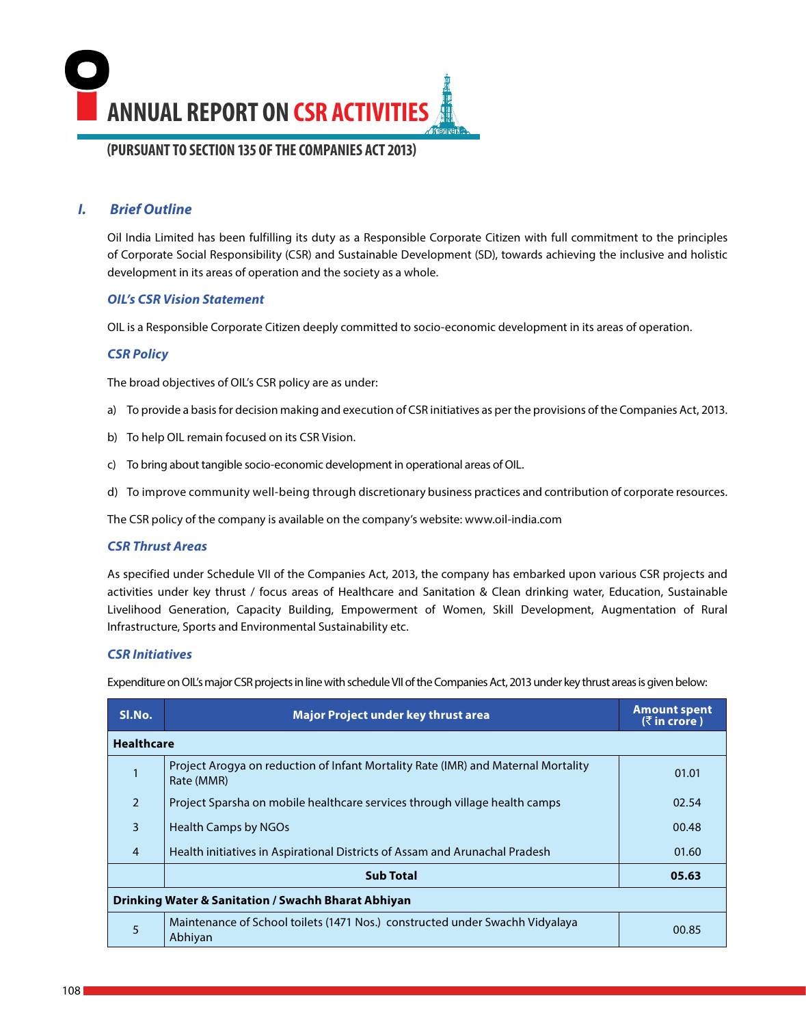**ANNUAL REPORT ON CSR ACTIVITIES (PURSUANT TO SECTION 135 OF THE COMPANIES ACT 2013)** 

## *I. Brief Outline*

Oil India Limited has been fulfilling its duty as a Responsible Corporate Citizen with full commitment to the principles of Corporate Social Responsibility (CSR) and Sustainable Development (SD), towards achieving the inclusive and holistic development in its areas of operation and the society as a whole.

### *OIL's CSR Vision Statement*

OIL is a Responsible Corporate Citizen deeply committed to socio-economic development in its areas of operation.

## *CSR Policy*

The broad objectives of OIL's CSR policy are as under:

- a) To provide a basis for decision making and execution of CSR initiatives as per the provisions of the Companies Act, 2013.
- b) To help OIL remain focused on its CSR Vision.
- c) To bring about tangible socio-economic development in operational areas of OIL.
- d) To improve community well-being through discretionary business practices and contribution of corporate resources.

The CSR policy of the company is available on the company's website: www.oil-india.com

## *CSR Thrust Areas*

As specified under Schedule VII of the Companies Act, 2013, the company has embarked upon various CSR projects and activities under key thrust / focus areas of Healthcare and Sanitation & Clean drinking water, Education, Sustainable Livelihood Generation, Capacity Building, Empowerment of Women, Skill Development, Augmentation of Rural Infrastructure, Sports and Environmental Sustainability etc.

### *CSR Initiatives*

Expenditure on OIL's major CSR projects in line with schedule VII of the Companies Act, 2013 under key thrust areas is given below:

| SI.No.            | <b>Major Project under key thrust area</b>                                                      | <b>Amount spent</b><br>$($ ₹ in crore) |
|-------------------|-------------------------------------------------------------------------------------------------|----------------------------------------|
| <b>Healthcare</b> |                                                                                                 |                                        |
|                   | Project Arogya on reduction of Infant Mortality Rate (IMR) and Maternal Mortality<br>Rate (MMR) | 01.01                                  |
| $\overline{2}$    | Project Sparsha on mobile healthcare services through village health camps                      | 02.54                                  |
| 3                 | <b>Health Camps by NGOs</b>                                                                     | 00.48                                  |
| $\overline{4}$    | Health initiatives in Aspirational Districts of Assam and Arunachal Pradesh                     | 01.60                                  |
|                   | <b>Sub Total</b>                                                                                | 05.63                                  |
|                   | <b>Drinking Water &amp; Sanitation / Swachh Bharat Abhiyan</b>                                  |                                        |
| 5                 | Maintenance of School toilets (1471 Nos.) constructed under Swachh Vidyalaya<br>Abhiyan         | 00.85                                  |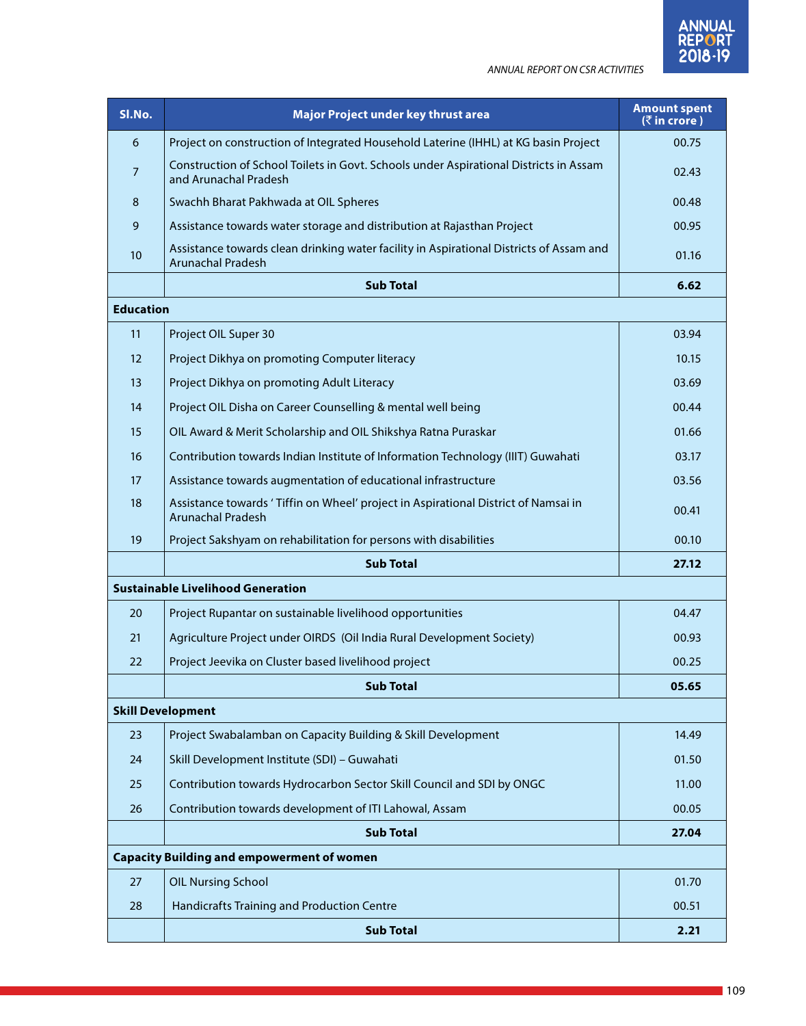| SI.No.           | Major Project under key thrust area                                                                                 | <b>Amount spent</b><br>$($ ₹in crore) |
|------------------|---------------------------------------------------------------------------------------------------------------------|---------------------------------------|
| 6                | Project on construction of Integrated Household Laterine (IHHL) at KG basin Project                                 | 00.75                                 |
| 7                | Construction of School Toilets in Govt. Schools under Aspirational Districts in Assam<br>and Arunachal Pradesh      | 02.43                                 |
| 8                | Swachh Bharat Pakhwada at OIL Spheres                                                                               | 00.48                                 |
| 9                | Assistance towards water storage and distribution at Rajasthan Project                                              | 00.95                                 |
| 10               | Assistance towards clean drinking water facility in Aspirational Districts of Assam and<br><b>Arunachal Pradesh</b> | 01.16                                 |
|                  | <b>Sub Total</b>                                                                                                    | 6.62                                  |
| <b>Education</b> |                                                                                                                     |                                       |
| 11               | Project OIL Super 30                                                                                                | 03.94                                 |
| 12               | Project Dikhya on promoting Computer literacy                                                                       | 10.15                                 |
| 13               | Project Dikhya on promoting Adult Literacy                                                                          | 03.69                                 |
| 14               | Project OIL Disha on Career Counselling & mental well being                                                         | 00.44                                 |
| 15               | OIL Award & Merit Scholarship and OIL Shikshya Ratna Puraskar                                                       | 01.66                                 |
| 16               | Contribution towards Indian Institute of Information Technology (IIIT) Guwahati                                     | 03.17                                 |
| 17               | Assistance towards augmentation of educational infrastructure                                                       | 03.56                                 |
| 18               | Assistance towards 'Tiffin on Wheel' project in Aspirational District of Namsai in<br><b>Arunachal Pradesh</b>      | 00.41                                 |
| 19               | Project Sakshyam on rehabilitation for persons with disabilities                                                    | 00.10                                 |
|                  | <b>Sub Total</b>                                                                                                    | 27.12                                 |
|                  | <b>Sustainable Livelihood Generation</b>                                                                            |                                       |
| 20               | Project Rupantar on sustainable livelihood opportunities                                                            | 04.47                                 |
| 21               | Agriculture Project under OIRDS (Oil India Rural Development Society)                                               | 00.93                                 |
| 22               | Project Jeevika on Cluster based livelihood project                                                                 | 00.25                                 |
|                  | <b>Sub Total</b>                                                                                                    | 05.65                                 |
|                  | Skill Development                                                                                                   |                                       |
| 23               | Project Swabalamban on Capacity Building & Skill Development                                                        | 14.49                                 |
| 24               | Skill Development Institute (SDI) - Guwahati                                                                        | 01.50                                 |
| 25               | Contribution towards Hydrocarbon Sector Skill Council and SDI by ONGC                                               | 11.00                                 |
| 26               | Contribution towards development of ITI Lahowal, Assam                                                              | 00.05                                 |
|                  | <b>Sub Total</b>                                                                                                    | 27.04                                 |
|                  | <b>Capacity Building and empowerment of women</b>                                                                   |                                       |
| 27               | <b>OIL Nursing School</b>                                                                                           | 01.70                                 |
| 28               | Handicrafts Training and Production Centre                                                                          | 00.51                                 |
|                  | <b>Sub Total</b>                                                                                                    | 2.21                                  |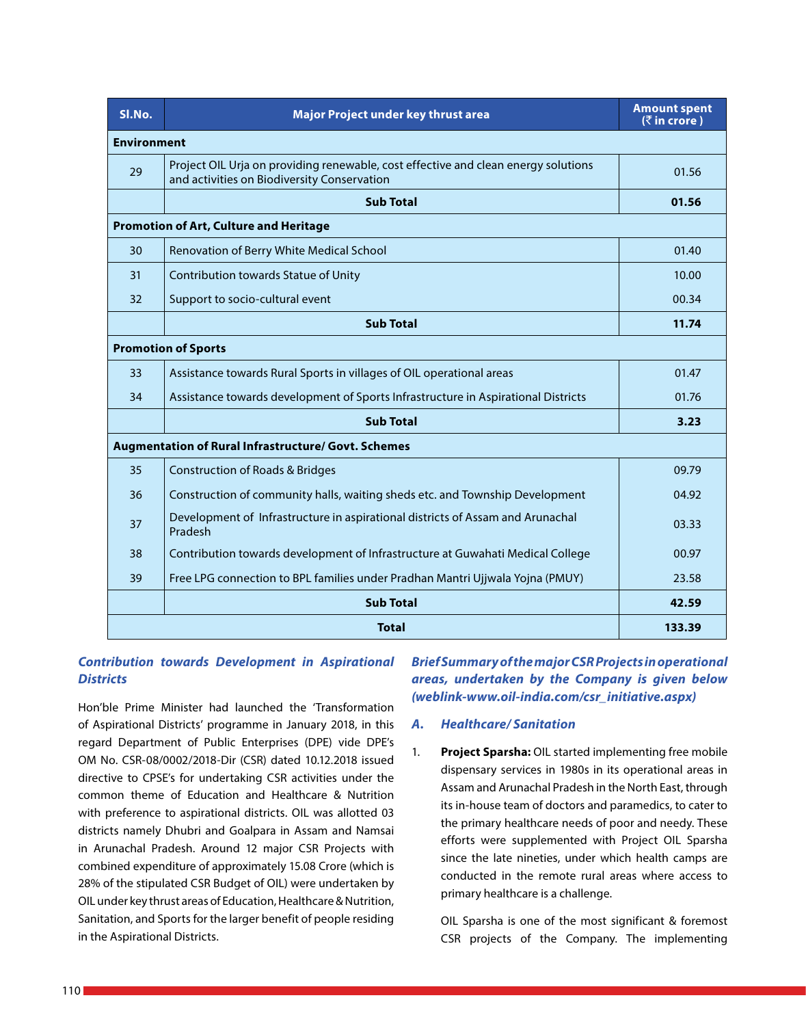| SI.No.             | Major Project under key thrust area                                                                                               | <b>Amount spent</b><br>$($ ₹ in crore) |
|--------------------|-----------------------------------------------------------------------------------------------------------------------------------|----------------------------------------|
| <b>Environment</b> |                                                                                                                                   |                                        |
| 29                 | Project OIL Urja on providing renewable, cost effective and clean energy solutions<br>and activities on Biodiversity Conservation | 01.56                                  |
|                    | <b>Sub Total</b>                                                                                                                  | 01.56                                  |
|                    | <b>Promotion of Art, Culture and Heritage</b>                                                                                     |                                        |
| 30                 | Renovation of Berry White Medical School                                                                                          | 01.40                                  |
| 31                 | Contribution towards Statue of Unity                                                                                              | 10.00                                  |
| 32                 | Support to socio-cultural event                                                                                                   | 00.34                                  |
|                    | <b>Sub Total</b>                                                                                                                  | 11.74                                  |
|                    | <b>Promotion of Sports</b>                                                                                                        |                                        |
| 33                 | Assistance towards Rural Sports in villages of OIL operational areas                                                              | 01.47                                  |
| 34                 | Assistance towards development of Sports Infrastructure in Aspirational Districts                                                 | 01.76                                  |
|                    | <b>Sub Total</b>                                                                                                                  | 3.23                                   |
|                    | Augmentation of Rural Infrastructure/ Govt. Schemes                                                                               |                                        |
| 35                 | <b>Construction of Roads &amp; Bridges</b>                                                                                        | 09.79                                  |
| 36                 | Construction of community halls, waiting sheds etc. and Township Development                                                      | 04.92                                  |
| 37                 | Development of Infrastructure in aspirational districts of Assam and Arunachal<br>Pradesh                                         | 03.33                                  |
| 38                 | Contribution towards development of Infrastructure at Guwahati Medical College                                                    | 00.97                                  |
| 39                 | Free LPG connection to BPL families under Pradhan Mantri Ujjwala Yojna (PMUY)                                                     | 23.58                                  |
|                    | <b>Sub Total</b>                                                                                                                  | 42.59                                  |
|                    | <b>Total</b>                                                                                                                      | 133.39                                 |

## *Contribution towards Development in Aspirational Districts*

Hon'ble Prime Minister had launched the 'Transformation of Aspirational Districts' programme in January 2018, in this regard Department of Public Enterprises (DPE) vide DPE's OM No. CSR-08/0002/2018-Dir (CSR) dated 10.12.2018 issued directive to CPSE's for undertaking CSR activities under the common theme of Education and Healthcare & Nutrition with preference to aspirational districts. OIL was allotted 03 districts namely Dhubri and Goalpara in Assam and Namsai in Arunachal Pradesh. Around 12 major CSR Projects with combined expenditure of approximately 15.08 Crore (which is 28% of the stipulated CSR Budget of OIL) were undertaken by OIL under key thrust areas of Education, Healthcare & Nutrition, Sanitation, and Sports for the larger benefit of people residing in the Aspirational Districts.

*Brief Summary of the major CSR Projects in operational areas, undertaken by the Company is given below (weblink-www.oil-india.com/csr\_initiative.aspx)*

### *A. Healthcare/ Sanitation*

1. **Project Sparsha:** OIL started implementing free mobile dispensary services in 1980s in its operational areas in Assam and Arunachal Pradesh in the North East, through its in-house team of doctors and paramedics, to cater to the primary healthcare needs of poor and needy. These efforts were supplemented with Project OIL Sparsha since the late nineties, under which health camps are conducted in the remote rural areas where access to primary healthcare is a challenge.

OIL Sparsha is one of the most significant & foremost CSR projects of the Company. The implementing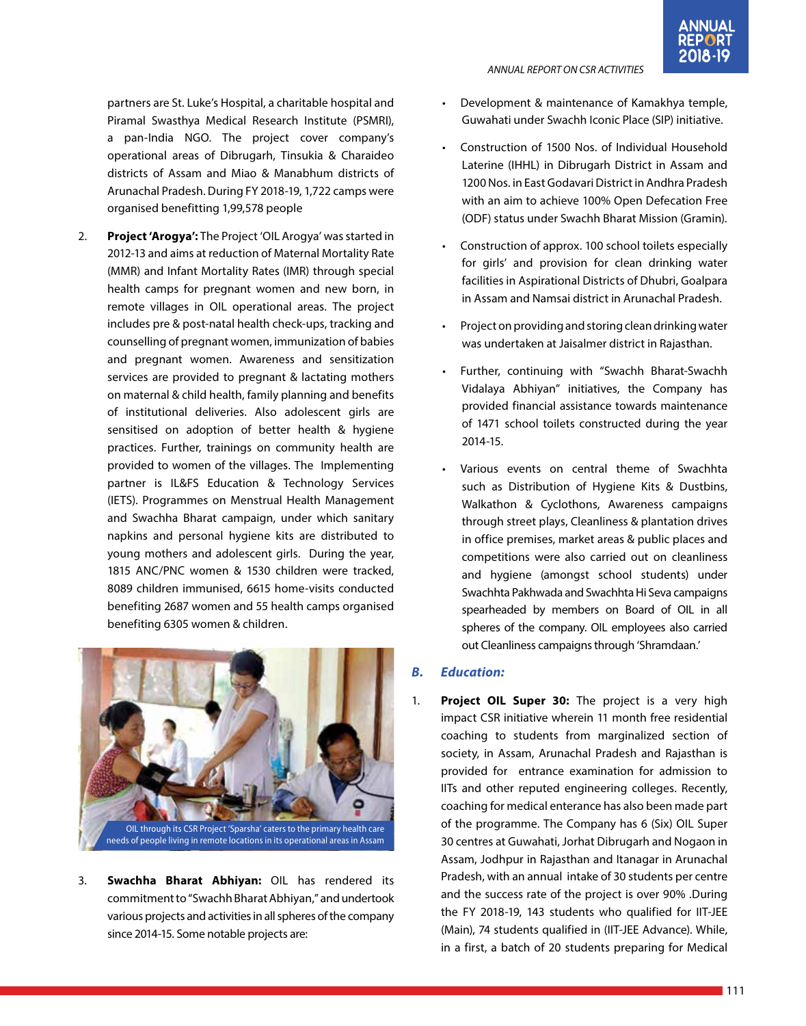partners are St. Luke's Hospital, a charitable hospital and Piramal Swasthya Medical Research Institute (PSMRI), a pan-India NGO. The project cover company's operational areas of Dibrugarh, Tinsukia & Charaideo districts of Assam and Miao & Manabhum districts of Arunachal Pradesh. During FY 2018-19, 1,722 camps were organised benefitting 1,99,578 people

2. **Project 'Arogya':** The Project 'OIL Arogya' was started in 2012-13 and aims at reduction of Maternal Mortality Rate (MMR) and Infant Mortality Rates (IMR) through special health camps for pregnant women and new born, in remote villages in OIL operational areas. The project includes pre & post-natal health check-ups, tracking and counselling of pregnant women, immunization of babies and pregnant women. Awareness and sensitization services are provided to pregnant & lactating mothers on maternal & child health, family planning and benefits of institutional deliveries. Also adolescent girls are sensitised on adoption of better health & hygiene practices. Further, trainings on community health are provided to women of the villages. The Implementing partner is IL&FS Education & Technology Services (IETS). Programmes on Menstrual Health Management and Swachha Bharat campaign, under which sanitary napkins and personal hygiene kits are distributed to young mothers and adolescent girls. During the year, 1815 ANC/PNC women & 1530 children were tracked, 8089 children immunised, 6615 home-visits conducted benefiting 2687 women and 55 health camps organised benefiting 6305 women & children.



3. **Swachha Bharat Abhiyan:** OIL has rendered its commitment to "Swachh Bharat Abhiyan," and undertook various projects and activities in all spheres of the company since 2014-15. Some notable projects are:

## • Development & maintenance of Kamakhya temple, Guwahati under Swachh Iconic Place (SIP) initiative.

*ANNUAL REPORT ON CSR ACTIVITIES*

- Construction of 1500 Nos. of Individual Household Laterine (IHHL) in Dibrugarh District in Assam and 1200 Nos. in East Godavari District in Andhra Pradesh with an aim to achieve 100% Open Defecation Free (ODF) status under Swachh Bharat Mission (Gramin).
- Construction of approx. 100 school toilets especially for girls' and provision for clean drinking water facilities in Aspirational Districts of Dhubri, Goalpara in Assam and Namsai district in Arunachal Pradesh.
- Project on providing and storing clean drinking water was undertaken at Jaisalmer district in Rajasthan.
- Further, continuing with "Swachh Bharat-Swachh Vidalaya Abhiyan" initiatives, the Company has provided financial assistance towards maintenance of 1471 school toilets constructed during the year 2014-15.
- Various events on central theme of Swachhta such as Distribution of Hygiene Kits & Dustbins, Walkathon & Cyclothons, Awareness campaigns through street plays, Cleanliness & plantation drives in office premises, market areas & public places and competitions were also carried out on cleanliness and hygiene (amongst school students) under Swachhta Pakhwada and Swachhta Hi Seva campaigns spearheaded by members on Board of OIL in all spheres of the company. OIL employees also carried out Cleanliness campaigns through 'Shramdaan.'

## *B. Education:*

1. **Project OIL Super 30:** The project is a very high impact CSR initiative wherein 11 month free residential coaching to students from marginalized section of society, in Assam, Arunachal Pradesh and Rajasthan is provided for entrance examination for admission to IITs and other reputed engineering colleges. Recently, coaching for medical enterance has also been made part of the programme. The Company has 6 (Six) OIL Super 30 centres at Guwahati, Jorhat Dibrugarh and Nogaon in Assam, Jodhpur in Rajasthan and Itanagar in Arunachal Pradesh, with an annual intake of 30 students per centre and the success rate of the project is over 90% .During the FY 2018-19, 143 students who qualified for IIT-JEE (Main), 74 students qualified in (IIT-JEE Advance). While, in a first, a batch of 20 students preparing for Medical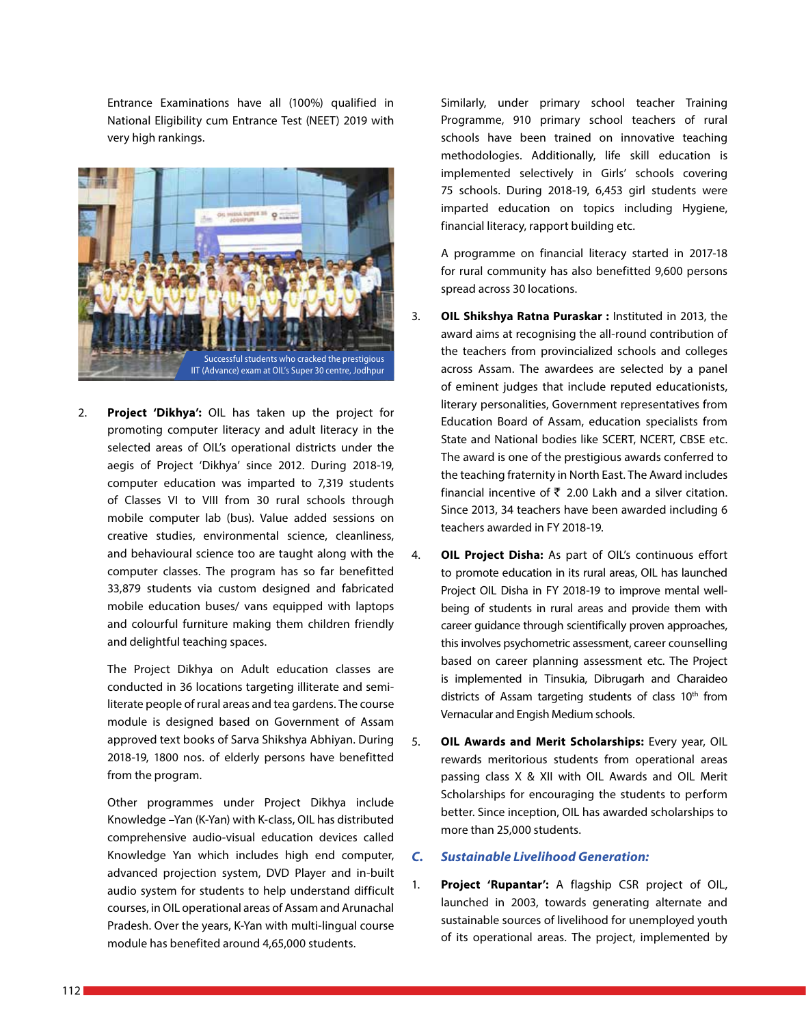Entrance Examinations have all (100%) qualified in National Eligibility cum Entrance Test (NEET) 2019 with very high rankings.



2. **Project 'Dikhya':** OIL has taken up the project for promoting computer literacy and adult literacy in the selected areas of OIL's operational districts under the aegis of Project 'Dikhya' since 2012. During 2018-19, computer education was imparted to 7,319 students of Classes VI to VIII from 30 rural schools through mobile computer lab (bus). Value added sessions on creative studies, environmental science, cleanliness, and behavioural science too are taught along with the computer classes. The program has so far benefitted 33,879 students via custom designed and fabricated mobile education buses/ vans equipped with laptops and colourful furniture making them children friendly and delightful teaching spaces.

The Project Dikhya on Adult education classes are conducted in 36 locations targeting illiterate and semiliterate people of rural areas and tea gardens. The course module is designed based on Government of Assam approved text books of Sarva Shikshya Abhiyan. During 2018-19, 1800 nos. of elderly persons have benefitted from the program.

Other programmes under Project Dikhya include Knowledge –Yan (K-Yan) with K-class, OIL has distributed comprehensive audio-visual education devices called Knowledge Yan which includes high end computer, advanced projection system, DVD Player and in-built audio system for students to help understand difficult courses, in OIL operational areas of Assam and Arunachal Pradesh. Over the years, K-Yan with multi-lingual course module has benefited around 4,65,000 students.

Similarly, under primary school teacher Training Programme, 910 primary school teachers of rural schools have been trained on innovative teaching methodologies. Additionally, life skill education is implemented selectively in Girls' schools covering 75 schools. During 2018-19, 6,453 girl students were imparted education on topics including Hygiene, financial literacy, rapport building etc.

A programme on financial literacy started in 2017-18 for rural community has also benefitted 9,600 persons spread across 30 locations.

- 3. **OIL Shikshya Ratna Puraskar :** Instituted in 2013, the award aims at recognising the all-round contribution of the teachers from provincialized schools and colleges across Assam. The awardees are selected by a panel of eminent judges that include reputed educationists, literary personalities, Government representatives from Education Board of Assam, education specialists from State and National bodies like SCERT, NCERT, CBSE etc. The award is one of the prestigious awards conferred to the teaching fraternity in North East. The Award includes financial incentive of  $\bar{\tau}$  2.00 Lakh and a silver citation. Since 2013, 34 teachers have been awarded including 6 teachers awarded in FY 2018-19.
- 4. **OIL Project Disha:** As part of OIL's continuous effort to promote education in its rural areas, OIL has launched Project OIL Disha in FY 2018-19 to improve mental wellbeing of students in rural areas and provide them with career guidance through scientifically proven approaches, this involves psychometric assessment, career counselling based on career planning assessment etc. The Project is implemented in Tinsukia, Dibrugarh and Charaideo districts of Assam targeting students of class 10<sup>th</sup> from Vernacular and Engish Medium schools.
- 5. **OIL Awards and Merit Scholarships:** Every year, OIL rewards meritorious students from operational areas passing class X & XII with OIL Awards and OIL Merit Scholarships for encouraging the students to perform better. Since inception, OIL has awarded scholarships to more than 25,000 students.

#### *C. Sustainable Livelihood Generation:*

1. **Project 'Rupantar':** A flagship CSR project of OIL, launched in 2003, towards generating alternate and sustainable sources of livelihood for unemployed youth of its operational areas. The project, implemented by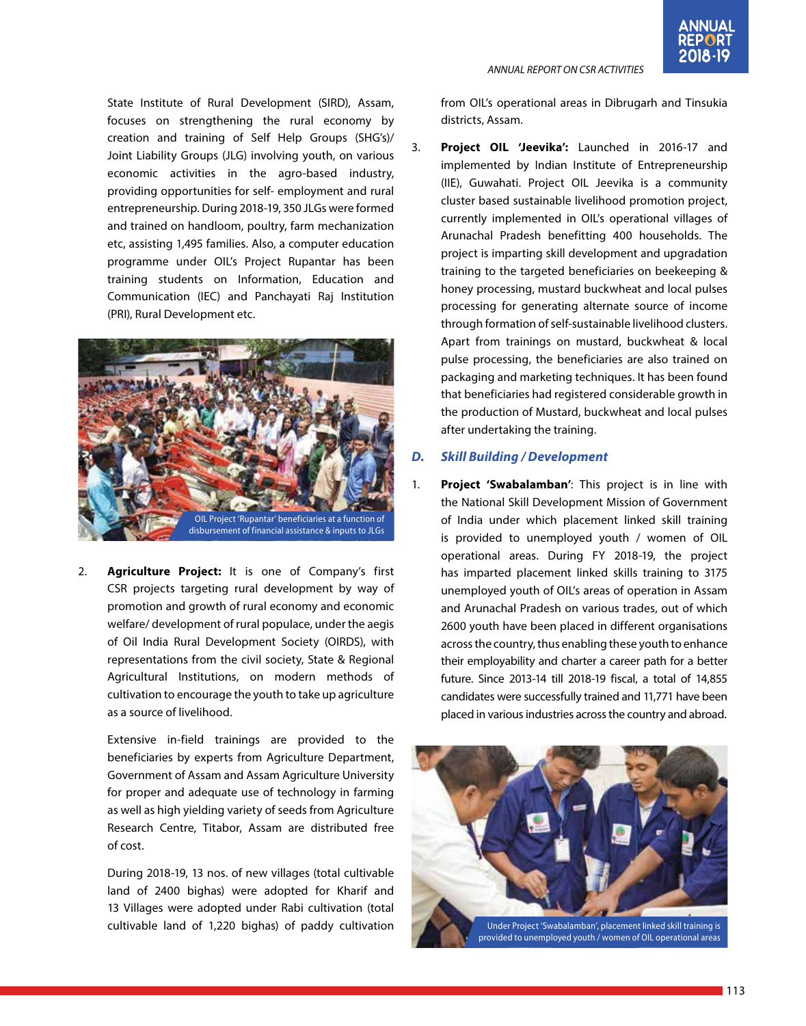#### *ANNUAL REPORT ON CSR ACTIVITIES*



State Institute of Rural Development (SIRD), Assam, focuses on strengthening the rural economy by creation and training of Self Help Groups (SHG's)/ Joint Liability Groups (JLG) involving youth, on various economic activities in the agro-based industry, providing opportunities for self- employment and rural entrepreneurship. During 2018-19, 350 JLGs were formed and trained on handloom, poultry, farm mechanization etc, assisting 1,495 families. Also, a computer education programme under OIL's Project Rupantar has been training students on Information, Education and Communication (IEC) and Panchayati Raj Institution (PRI), Rural Development etc.



2. **Agriculture Project:** It is one of Company's first CSR projects targeting rural development by way of promotion and growth of rural economy and economic welfare/ development of rural populace, under the aegis of Oil India Rural Development Society (OIRDS), with representations from the civil society, State & Regional Agricultural Institutions, on modern methods of cultivation to encourage the youth to take up agriculture as a source of livelihood.

Extensive in-field trainings are provided to the beneficiaries by experts from Agriculture Department, Government of Assam and Assam Agriculture University for proper and adequate use of technology in farming as well as high yielding variety of seeds from Agriculture Research Centre, Titabor, Assam are distributed free of cost.

During 2018-19, 13 nos. of new villages (total cultivable land of 2400 bighas) were adopted for Kharif and 13 Villages were adopted under Rabi cultivation (total cultivable land of 1,220 bighas) of paddy cultivation

from OIL's operational areas in Dibrugarh and Tinsukia districts, Assam.

3. **Project OIL 'Jeevika':** Launched in 2016-17 and implemented by Indian Institute of Entrepreneurship (IIE), Guwahati. Project OIL Jeevika is a community cluster based sustainable livelihood promotion project, currently implemented in OIL's operational villages of Arunachal Pradesh benefitting 400 households. The project is imparting skill development and upgradation training to the targeted beneficiaries on beekeeping & honey processing, mustard buckwheat and local pulses processing for generating alternate source of income through formation of self-sustainable livelihood clusters. Apart from trainings on mustard, buckwheat & local pulse processing, the beneficiaries are also trained on packaging and marketing techniques. It has been found that beneficiaries had registered considerable growth in the production of Mustard, buckwheat and local pulses after undertaking the training.

#### *D. Skill Building / Development*

1. **Project 'Swabalamban'**: This project is in line with the National Skill Development Mission of Government of India under which placement linked skill training is provided to unemployed youth / women of OIL operational areas. During FY 2018-19, the project has imparted placement linked skills training to 3175 unemployed youth of OIL's areas of operation in Assam and Arunachal Pradesh on various trades, out of which 2600 youth have been placed in different organisations across the country, thus enabling these youth to enhance their employability and charter a career path for a better future. Since 2013-14 till 2018-19 fiscal, a total of 14,855 candidates were successfully trained and 11,771 have been placed in various industries across the country and abroad.

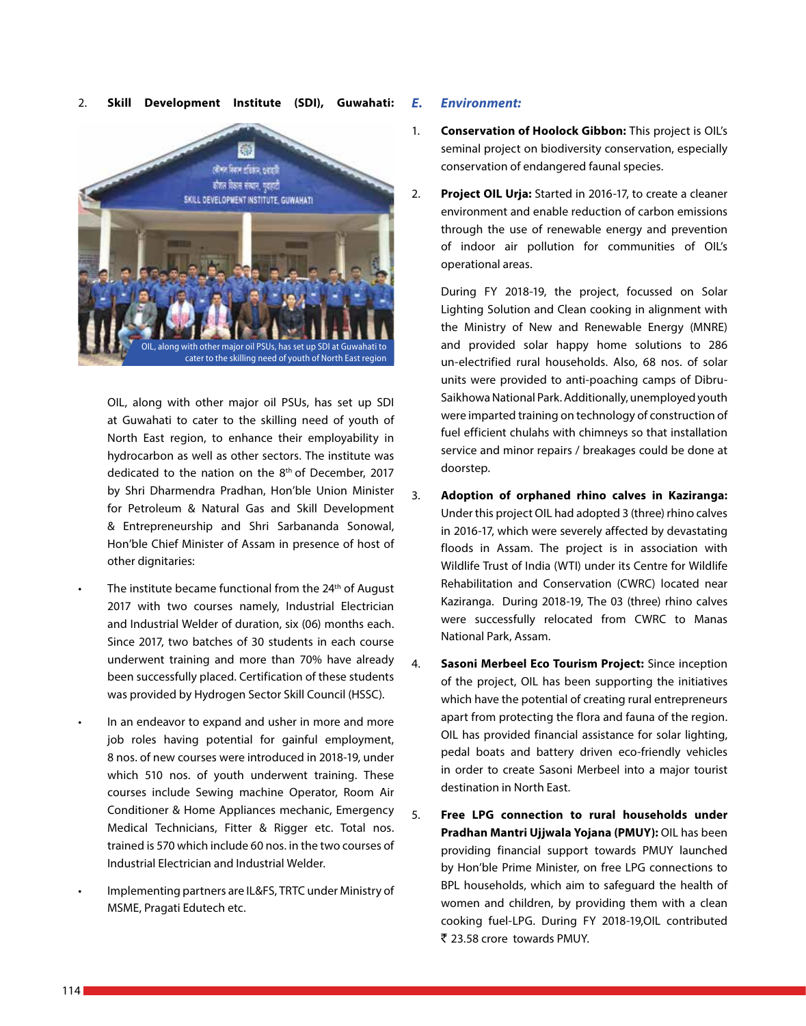#### 2. **Skill Development Institute (SDI), Guwahati:**



OIL, along with other major oil PSUs, has set up SDI at Guwahati to cater to the skilling need of youth of North East region, to enhance their employability in hydrocarbon as well as other sectors. The institute was dedicated to the nation on the 8th of December, 2017 by Shri Dharmendra Pradhan, Hon'ble Union Minister for Petroleum & Natural Gas and Skill Development & Entrepreneurship and Shri Sarbananda Sonowal, Hon'ble Chief Minister of Assam in presence of host of other dignitaries:

- The institute became functional from the  $24<sup>th</sup>$  of August 2017 with two courses namely, Industrial Electrician and Industrial Welder of duration, six (06) months each. Since 2017, two batches of 30 students in each course underwent training and more than 70% have already been successfully placed. Certification of these students was provided by Hydrogen Sector Skill Council (HSSC).
- In an endeavor to expand and usher in more and more job roles having potential for gainful employment, 8 nos. of new courses were introduced in 2018-19, under which 510 nos. of youth underwent training. These courses include Sewing machine Operator, Room Air Conditioner & Home Appliances mechanic, Emergency Medical Technicians, Fitter & Rigger etc. Total nos. trained is 570 which include 60 nos. in the two courses of Industrial Electrician and Industrial Welder.
- Implementing partners are IL&FS, TRTC under Ministry of MSME, Pragati Edutech etc.

#### *E. Environment:*

- 1. **Conservation of Hoolock Gibbon:** This project is OIL's seminal project on biodiversity conservation, especially conservation of endangered faunal species.
- 2. **Project OIL Urja:** Started in 2016-17, to create a cleaner environment and enable reduction of carbon emissions through the use of renewable energy and prevention of indoor air pollution for communities of OIL's operational areas.

During FY 2018-19, the project, focussed on Solar Lighting Solution and Clean cooking in alignment with the Ministry of New and Renewable Energy (MNRE) and provided solar happy home solutions to 286 un-electrified rural households. Also, 68 nos. of solar units were provided to anti-poaching camps of Dibru-Saikhowa National Park. Additionally, unemployed youth were imparted training on technology of construction of fuel efficient chulahs with chimneys so that installation service and minor repairs / breakages could be done at doorstep.

- 3. **Adoption of orphaned rhino calves in Kaziranga:** Under this project OIL had adopted 3 (three) rhino calves in 2016-17, which were severely affected by devastating floods in Assam. The project is in association with Wildlife Trust of India (WTI) under its Centre for Wildlife Rehabilitation and Conservation (CWRC) located near Kaziranga. During 2018-19, The 03 (three) rhino calves were successfully relocated from CWRC to Manas National Park, Assam.
- 4. **Sasoni Merbeel Eco Tourism Project:** Since inception of the project, OIL has been supporting the initiatives which have the potential of creating rural entrepreneurs apart from protecting the flora and fauna of the region. OIL has provided financial assistance for solar lighting, pedal boats and battery driven eco-friendly vehicles in order to create Sasoni Merbeel into a major tourist destination in North East.
- 5. **Free LPG connection to rural households under Pradhan Mantri Ujjwala Yojana (PMUY):** OIL has been providing financial support towards PMUY launched by Hon'ble Prime Minister, on free LPG connections to BPL households, which aim to safeguard the health of women and children, by providing them with a clean cooking fuel-LPG. During FY 2018-19,OIL contributed ` 23.58 crore towards PMUY.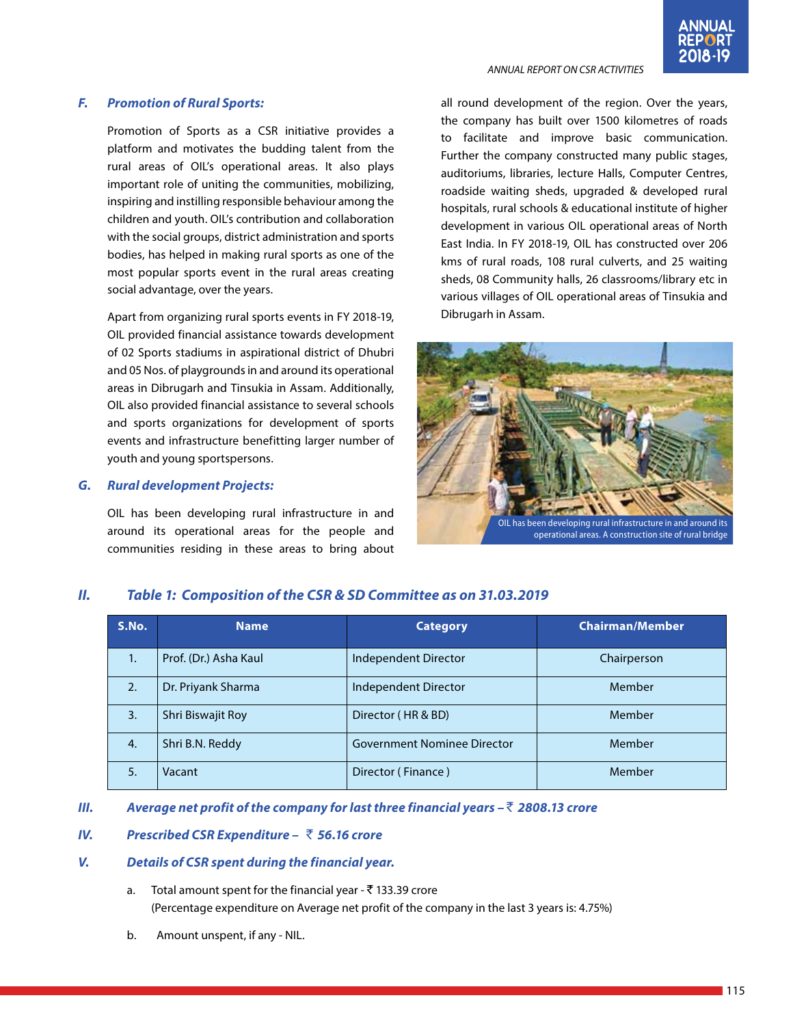#### *ANNUAL REPORT ON CSR ACTIVITIES*

### *F. Promotion of Rural Sports:*

Promotion of Sports as a CSR initiative provides a platform and motivates the budding talent from the rural areas of OIL's operational areas. It also plays important role of uniting the communities, mobilizing, inspiring and instilling responsible behaviour among the children and youth. OIL's contribution and collaboration with the social groups, district administration and sports bodies, has helped in making rural sports as one of the most popular sports event in the rural areas creating social advantage, over the years.

Apart from organizing rural sports events in FY 2018-19, OIL provided financial assistance towards development of 02 Sports stadiums in aspirational district of Dhubri and 05 Nos. of playgrounds in and around its operational areas in Dibrugarh and Tinsukia in Assam. Additionally, OIL also provided financial assistance to several schools and sports organizations for development of sports events and infrastructure benefitting larger number of youth and young sportspersons.

#### *G. Rural development Projects:*

OIL has been developing rural infrastructure in and around its operational areas for the people and communities residing in these areas to bring about all round development of the region. Over the years, the company has built over 1500 kilometres of roads to facilitate and improve basic communication. Further the company constructed many public stages, auditoriums, libraries, lecture Halls, Computer Centres, roadside waiting sheds, upgraded & developed rural hospitals, rural schools & educational institute of higher development in various OIL operational areas of North East India. In FY 2018-19, OIL has constructed over 206 kms of rural roads, 108 rural culverts, and 25 waiting sheds, 08 Community halls, 26 classrooms/library etc in various villages of OIL operational areas of Tinsukia and Dibrugarh in Assam.



## *II. Table 1: Composition of the CSR & SD Committee as on 31.03.2019*

| S.No. | <b>Name</b>           | <b>Category</b>                    | <b>Chairman/Member</b> |
|-------|-----------------------|------------------------------------|------------------------|
| 1.    | Prof. (Dr.) Asha Kaul | Independent Director               | Chairperson            |
| 2.    | Dr. Priyank Sharma    | Independent Director               | Member                 |
| 3.    | Shri Biswajit Roy     | Director (HR & BD)                 | Member                 |
| 4.    | Shri B.N. Reddy       | <b>Government Nominee Director</b> | Member                 |
| 5.    | Vacant                | Director (Finance)                 | Member                 |

#### *III. Average net profit of the company for last three financial years –* ` *2808.13 crore*

### *IV. Prescribed CSR Expenditure –* ` *56.16 crore*

#### *V. Details of CSR spent during the financial year.*

- a. Total amount spent for the financial year  $\bar{\tau}$  133.39 crore (Percentage expenditure on Average net profit of the company in the last 3 years is: 4.75%)
- b. Amount unspent, if any NIL.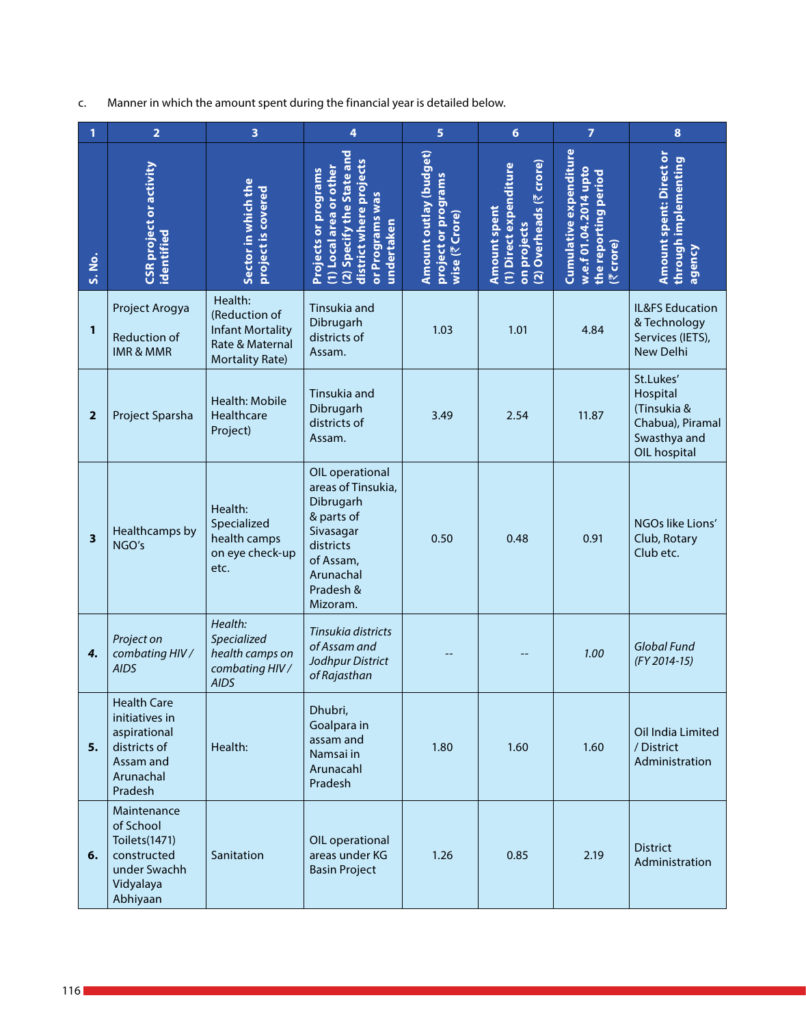c. Manner in which the amount spent during the financial year is detailed below.

| 1                       | $\overline{2}$                                                                                            | 3                                                                                                | 4                                                                                                                                             | 5                                                               | 6                                                                                      | $\overline{7}$                                                                                | 8                                                                                        |
|-------------------------|-----------------------------------------------------------------------------------------------------------|--------------------------------------------------------------------------------------------------|-----------------------------------------------------------------------------------------------------------------------------------------------|-----------------------------------------------------------------|----------------------------------------------------------------------------------------|-----------------------------------------------------------------------------------------------|------------------------------------------------------------------------------------------|
| S. No.                  | CSR project or activity<br>identified                                                                     | Sector in which the<br>project is covered                                                        | 2) Specify the State and<br>district where projects<br>1) Local area or other<br>Projects or programs<br>or Programs was<br>undertaken        | Amount outlay (budget)<br>project or programs<br>wise (₹ Crore) | 2) Overheads (₹ crore)<br>(1) Direct expenditure<br><b>Amount spent</b><br>on projects | <b>Cumulative expenditure</b><br>w.e.f 01.04.2014 upto<br>the reporting period<br>crore)<br>忆 | <b>Amount spent: Direct or</b><br>through implementing<br>agency                         |
| 1                       | Project Arogya<br><b>Reduction of</b><br><b>IMR &amp; MMR</b>                                             | Health:<br>(Reduction of<br><b>Infant Mortality</b><br>Rate & Maternal<br><b>Mortality Rate)</b> | Tinsukia and<br>Dibrugarh<br>districts of<br>Assam.                                                                                           | 1.03                                                            | 1.01                                                                                   | 4.84                                                                                          | IL&FS Education<br>& Technology<br>Services (IETS),<br><b>New Delhi</b>                  |
| $\mathbf{2}$            | Project Sparsha                                                                                           | Health: Mobile<br><b>Healthcare</b><br>Project)                                                  | Tinsukia and<br>Dibrugarh<br>districts of<br>Assam.                                                                                           | 3.49                                                            | 2.54                                                                                   | 11.87                                                                                         | St.Lukes'<br>Hospital<br>(Tinsukia &<br>Chabua), Piramal<br>Swasthya and<br>OIL hospital |
| $\overline{\mathbf{3}}$ | Healthcamps by<br>NGO's                                                                                   | Health:<br>Specialized<br>health camps<br>on eye check-up<br>etc.                                | OIL operational<br>areas of Tinsukia,<br>Dibrugarh<br>& parts of<br>Sivasagar<br>districts<br>of Assam,<br>Arunachal<br>Pradesh &<br>Mizoram. | 0.50                                                            | 0.48                                                                                   | 0.91                                                                                          | NGOs like Lions'<br>Club, Rotary<br>Club etc.                                            |
| 4.                      | Project on<br>combating HIV /<br><b>AIDS</b>                                                              | Health:<br>Specialized<br>health camps on<br>combating HIV /<br><b>AIDS</b>                      | Tinsukia districts<br>of Assam and<br>Jodhpur District<br>of Rajasthan                                                                        |                                                                 |                                                                                        | 1.00                                                                                          | Global Fund<br>(FY 2014-15)                                                              |
| 5.                      | <b>Health Care</b><br>initiatives in<br>aspirational<br>districts of<br>Assam and<br>Arunachal<br>Pradesh | Health:                                                                                          | Dhubri,<br>Goalpara in<br>assam and<br>Namsai in<br>Arunacahl<br>Pradesh                                                                      | 1.80                                                            | 1.60                                                                                   | 1.60                                                                                          | Oil India Limited<br>/ District<br>Administration                                        |
| 6.                      | Maintenance<br>of School<br>Toilets(1471)<br>constructed<br>under Swachh<br>Vidyalaya<br>Abhiyaan         | Sanitation                                                                                       | OIL operational<br>areas under KG<br><b>Basin Project</b>                                                                                     | 1.26                                                            | 0.85                                                                                   | 2.19                                                                                          | <b>District</b><br>Administration                                                        |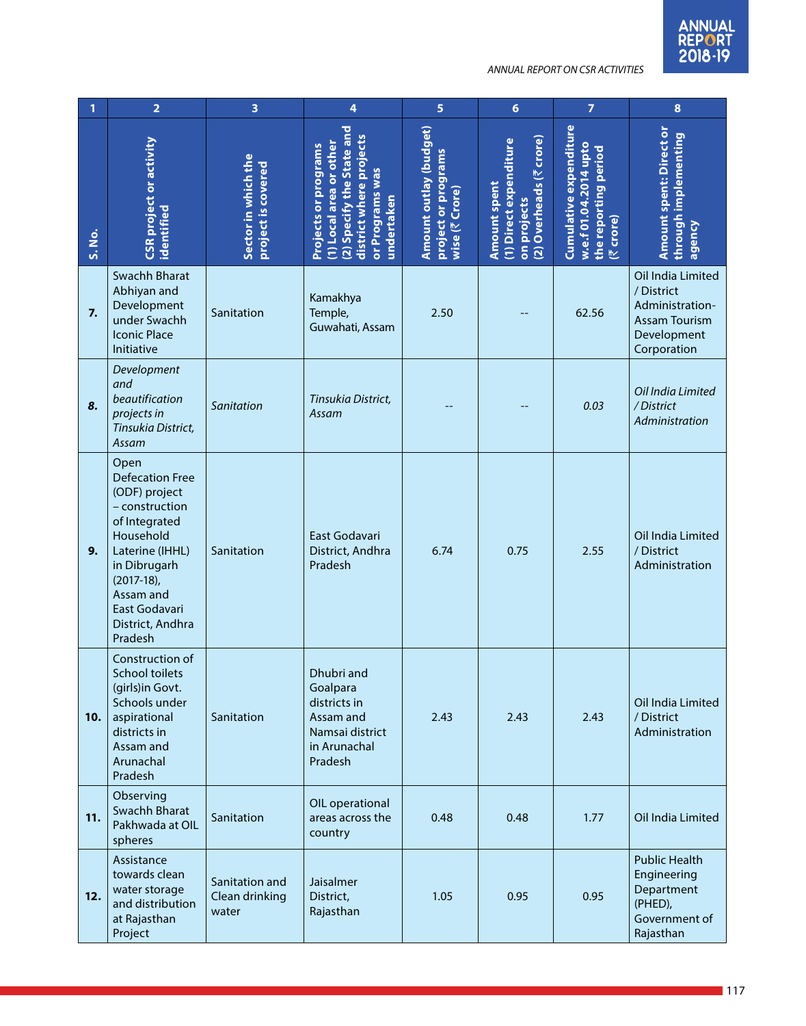| 1      | $\overline{\mathbf{2}}$                                                                                                                                                                                          | 3                                         | 4                                                                                                                                        | 5                                                               | $6\phantom{1}6$                                                                  | $\overline{7}$                                                                              | $\bf{8}$                                                                                                 |
|--------|------------------------------------------------------------------------------------------------------------------------------------------------------------------------------------------------------------------|-------------------------------------------|------------------------------------------------------------------------------------------------------------------------------------------|-----------------------------------------------------------------|----------------------------------------------------------------------------------|---------------------------------------------------------------------------------------------|----------------------------------------------------------------------------------------------------------|
| S. No. | CSR project or activity<br>identified                                                                                                                                                                            | Sector in which the<br>project is covered | (2) Specify the State and<br>district where projects<br>(1) Local area or other<br>Projects or programs<br>or Programs was<br>undertaken | Amount outlay (budget)<br>project or programs<br>wise (₹ Crore) | (2) Overheads (₹ crore)<br>(1) Direct expenditure<br>Amount spent<br>on projects | <b>Cumulative expenditure</b><br>w.e.f 01.04.2014 upto<br>the reporting period<br>(₹ crore) | <b>Amount spent: Direct or</b><br>through implementing<br>agency                                         |
| 7.     | Swachh Bharat<br>Abhiyan and<br>Development<br>under Swachh<br><b>Iconic Place</b><br>Initiative                                                                                                                 | Sanitation                                | Kamakhya<br>Temple,<br>Guwahati, Assam                                                                                                   | 2.50                                                            |                                                                                  | 62.56                                                                                       | Oil India Limited<br>/ District<br>Administration-<br><b>Assam Tourism</b><br>Development<br>Corporation |
| 8.     | Development<br>and<br>beautification<br>projects in<br>Tinsukia District,<br>Assam                                                                                                                               | Sanitation                                | Tinsukia District,<br>Assam                                                                                                              |                                                                 |                                                                                  | 0.03                                                                                        | Oil India Limited<br>/District<br>Administration                                                         |
| 9.     | Open<br><b>Defecation Free</b><br>(ODF) project<br>- construction<br>of Integrated<br>Household<br>Laterine (IHHL)<br>in Dibrugarh<br>$(2017-18)$ ,<br>Assam and<br>East Godavari<br>District, Andhra<br>Pradesh | Sanitation                                | East Godavari<br>District, Andhra<br>Pradesh                                                                                             | 6.74                                                            | 0.75                                                                             | 2.55                                                                                        | Oil India Limited<br>/ District<br>Administration                                                        |
| 10.    | Construction of<br><b>School toilets</b><br>(girls)in Govt.<br>Schools under<br>aspirational<br>districts in<br>Assam and<br>Arunachal<br>Pradesh                                                                | Sanitation                                | Dhubri and<br>Goalpara<br>districts in<br>Assam and<br>Namsai district<br>in Arunachal<br>Pradesh                                        | 2.43                                                            | 2.43                                                                             | 2.43                                                                                        | Oil India Limited<br>/ District<br>Administration                                                        |
| 11.    | Observing<br>Swachh Bharat<br>Pakhwada at OIL<br>spheres                                                                                                                                                         | Sanitation                                | OIL operational<br>areas across the<br>country                                                                                           | 0.48                                                            | 0.48                                                                             | 1.77                                                                                        | Oil India Limited                                                                                        |
| 12.    | Assistance<br>towards clean<br>water storage<br>and distribution<br>at Rajasthan<br>Project                                                                                                                      | Sanitation and<br>Clean drinking<br>water | Jaisalmer<br>District,<br>Rajasthan                                                                                                      | 1.05                                                            | 0.95                                                                             | 0.95                                                                                        | <b>Public Health</b><br>Engineering<br>Department<br>(PHED),<br>Government of<br>Rajasthan               |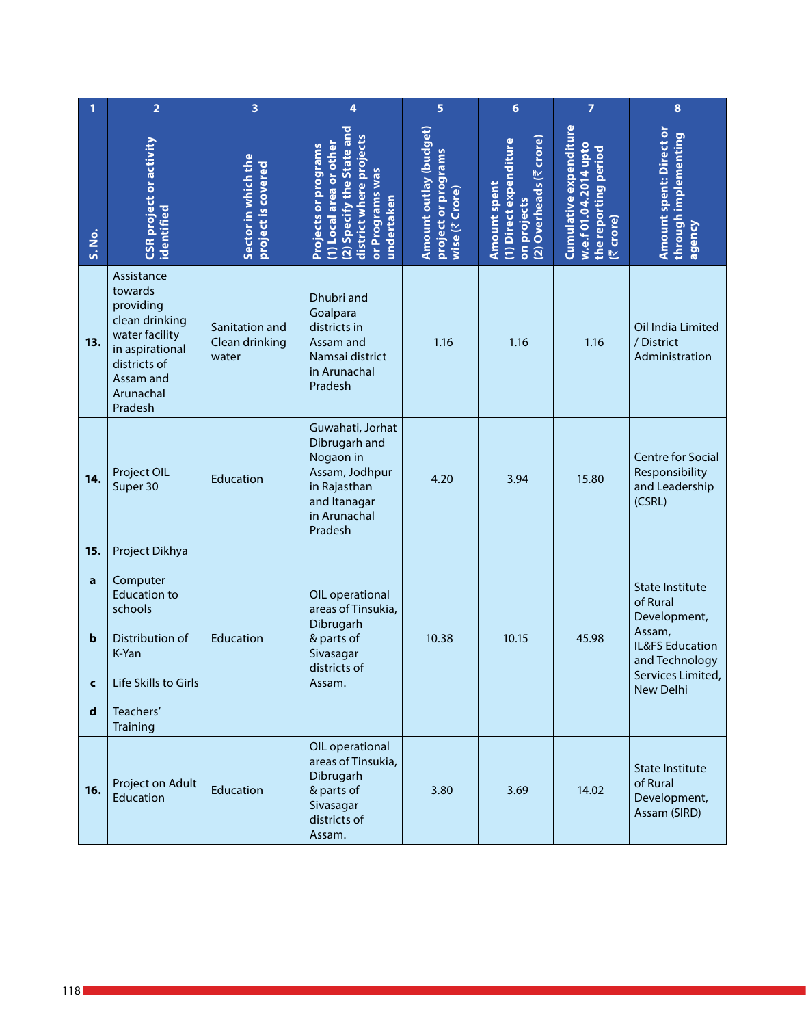| 1                                 | $\overline{\mathbf{2}}$                                                                                                                        | 3                                         | 4                                                                                                                                             | 5                                                               | $6\phantom{1}6$                                                                         | $\overline{7}$                                                                              | $\pmb{8}$                                                                                                                                  |
|-----------------------------------|------------------------------------------------------------------------------------------------------------------------------------------------|-------------------------------------------|-----------------------------------------------------------------------------------------------------------------------------------------------|-----------------------------------------------------------------|-----------------------------------------------------------------------------------------|---------------------------------------------------------------------------------------------|--------------------------------------------------------------------------------------------------------------------------------------------|
| S. No.                            | CSR project or activity<br>dentified                                                                                                           | Sector in which the<br>project is covered | 2) Specify the State and<br>district where projects<br>1) Local area or other<br><b>Projects or programs</b><br>or Programs was<br>undertaken | Amount outlay (budget)<br>project or programs<br>wise (₹ Crore) | (2) Overheads (₹ crore)<br>(1) Direct expenditure<br><b>Amount spent</b><br>on projects | Cumulative expenditure<br>w.e.f 01.04.2014 upto<br>the reporting period<br><b>[₹ crore]</b> | <b>Amount spent: Direct or</b><br>through implementing<br>agency                                                                           |
| 13.                               | Assistance<br>towards<br>providing<br>clean drinking<br>water facility<br>in aspirational<br>districts of<br>Assam and<br>Arunachal<br>Pradesh | Sanitation and<br>Clean drinking<br>water | Dhubri and<br>Goalpara<br>districts in<br>Assam and<br>Namsai district<br>in Arunachal<br>Pradesh                                             | 1.16                                                            | 1.16                                                                                    | 1.16                                                                                        | Oil India Limited<br>/ District<br>Administration                                                                                          |
| 14.                               | Project OIL<br>Super 30                                                                                                                        | Education                                 | Guwahati, Jorhat<br>Dibrugarh and<br>Nogaon in<br>Assam, Jodhpur<br>in Rajasthan<br>and Itanagar<br>in Arunachal<br>Pradesh                   | 4.20                                                            | 3.94                                                                                    | 15.80                                                                                       | <b>Centre for Social</b><br>Responsibility<br>and Leadership<br>(CSRL)                                                                     |
| 15.<br>a<br>b<br>C<br>$\mathbf d$ | Project Dikhya<br>Computer<br><b>Education to</b><br>schools<br>Distribution of<br>K-Yan<br>Life Skills to Girls<br>Teachers'<br>Training      | Education                                 | OIL operational<br>areas of Tinsukia,<br>Dibrugarh<br>& parts of<br>Sivasagar<br>districts of<br>Assam.                                       | 10.38                                                           | 10.15                                                                                   | 45.98                                                                                       | <b>State Institute</b><br>of Rural<br>Development,<br>Assam,<br>IL&FS Education<br>and Technology<br>Services Limited,<br><b>New Delhi</b> |
| 16.                               | Project on Adult<br>Education                                                                                                                  | Education                                 | OIL operational<br>areas of Tinsukia,<br>Dibrugarh<br>& parts of<br>Sivasagar<br>districts of<br>Assam.                                       | 3.80                                                            | 3.69                                                                                    | 14.02                                                                                       | <b>State Institute</b><br>of Rural<br>Development,<br>Assam (SIRD)                                                                         |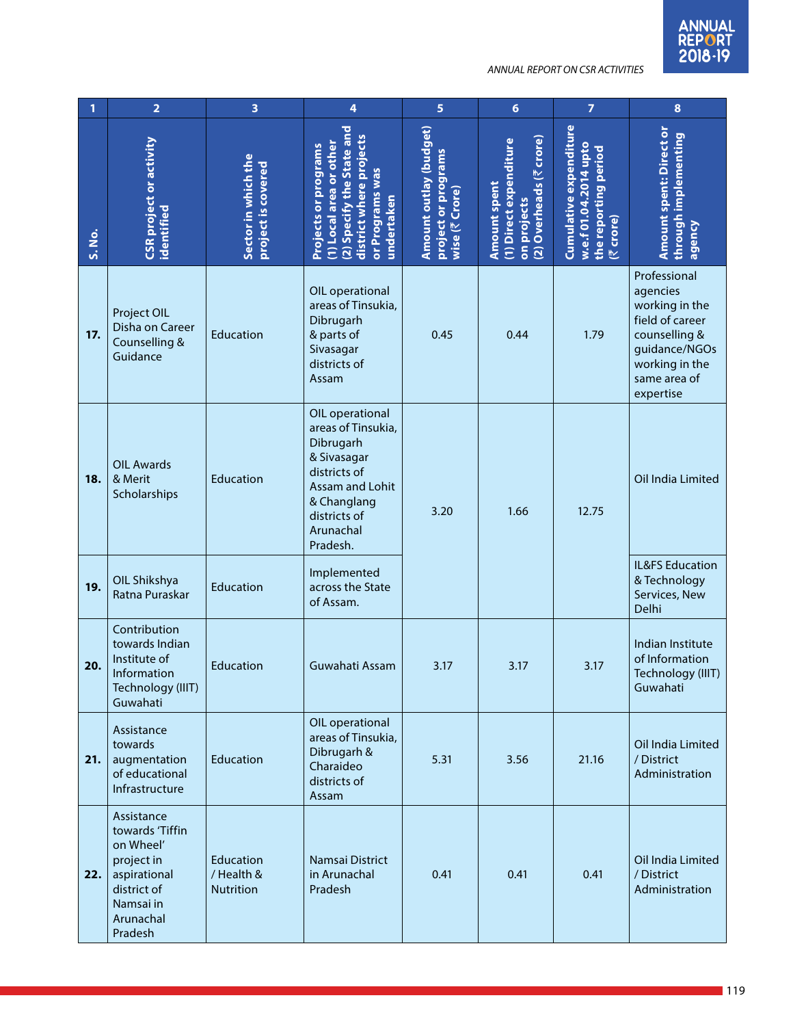| 1      | $\overline{2}$                                                                                                               | 3                                           | 4                                                                                                                                                            | 5                                                               | $6\phantom{1}$                                                                   | $\overline{7}$                                                                         | $\bf{8}$                                                                                                                                       |
|--------|------------------------------------------------------------------------------------------------------------------------------|---------------------------------------------|--------------------------------------------------------------------------------------------------------------------------------------------------------------|-----------------------------------------------------------------|----------------------------------------------------------------------------------|----------------------------------------------------------------------------------------|------------------------------------------------------------------------------------------------------------------------------------------------|
| S. No. | CSR project or activity<br>identified                                                                                        | Sector in which the<br>project is covered   | (2) Specify the State and<br>district where projects<br>(1) Local area or other<br><b>Projects or programs</b><br>or Programs was<br>undertaken              | Amount outlay (budget)<br>project or programs<br>wise (₹ Crore) | (2) Overheads (₹ crore)<br>(1) Direct expenditure<br>Amount spent<br>on projects | Cumulative expenditure<br>w.e.f 01.04.2014 upto<br>the reporting period<br>crore)<br>忆 | <b>Amount spent: Direct or</b><br>through implementing<br>agency                                                                               |
| 17.    | Project OIL<br>Disha on Career<br>Counselling &<br>Guidance                                                                  | Education                                   | OIL operational<br>areas of Tinsukia,<br>Dibrugarh<br>& parts of<br>Sivasagar<br>districts of<br>Assam                                                       | 0.45                                                            | 0.44                                                                             | 1.79                                                                                   | Professional<br>agencies<br>working in the<br>field of career<br>counselling &<br>guidance/NGOs<br>working in the<br>same area of<br>expertise |
| 18.    | <b>OIL Awards</b><br>& Merit<br>Scholarships                                                                                 | Education                                   | OIL operational<br>areas of Tinsukia,<br>Dibrugarh<br>& Sivasagar<br>districts of<br>Assam and Lohit<br>& Changlang<br>districts of<br>Arunachal<br>Pradesh. | 3.20                                                            | 1.66                                                                             | 12.75                                                                                  | Oil India Limited                                                                                                                              |
| 19.    | OIL Shikshya<br>Ratna Puraskar                                                                                               | Education                                   | Implemented<br>across the State<br>of Assam.                                                                                                                 |                                                                 |                                                                                  |                                                                                        | <b>IL&amp;FS Education</b><br>& Technology<br>Services, New<br>Delhi                                                                           |
| 20.    | Contribution<br>towards Indian<br>Institute of<br>Information<br>Technology (IIIT)<br>Guwahati                               | Education                                   | Guwahati Assam                                                                                                                                               | 3.17                                                            | 3.17                                                                             | 3.17                                                                                   | Indian Institute<br>of Information<br>Technology (IIIT)<br>Guwahati                                                                            |
| 21.    | Assistance<br>towards<br>augmentation<br>of educational<br>Infrastructure                                                    | Education                                   | OIL operational<br>areas of Tinsukia,<br>Dibrugarh &<br>Charaideo<br>districts of<br>Assam                                                                   | 5.31                                                            | 3.56                                                                             | 21.16                                                                                  | Oil India Limited<br>/ District<br>Administration                                                                                              |
| 22.    | Assistance<br>towards 'Tiffin<br>on Wheel'<br>project in<br>aspirational<br>district of<br>Namsai in<br>Arunachal<br>Pradesh | Education<br>/ Health &<br><b>Nutrition</b> | Namsai District<br>in Arunachal<br>Pradesh                                                                                                                   | 0.41                                                            | 0.41                                                                             | 0.41                                                                                   | Oil India Limited<br>/ District<br>Administration                                                                                              |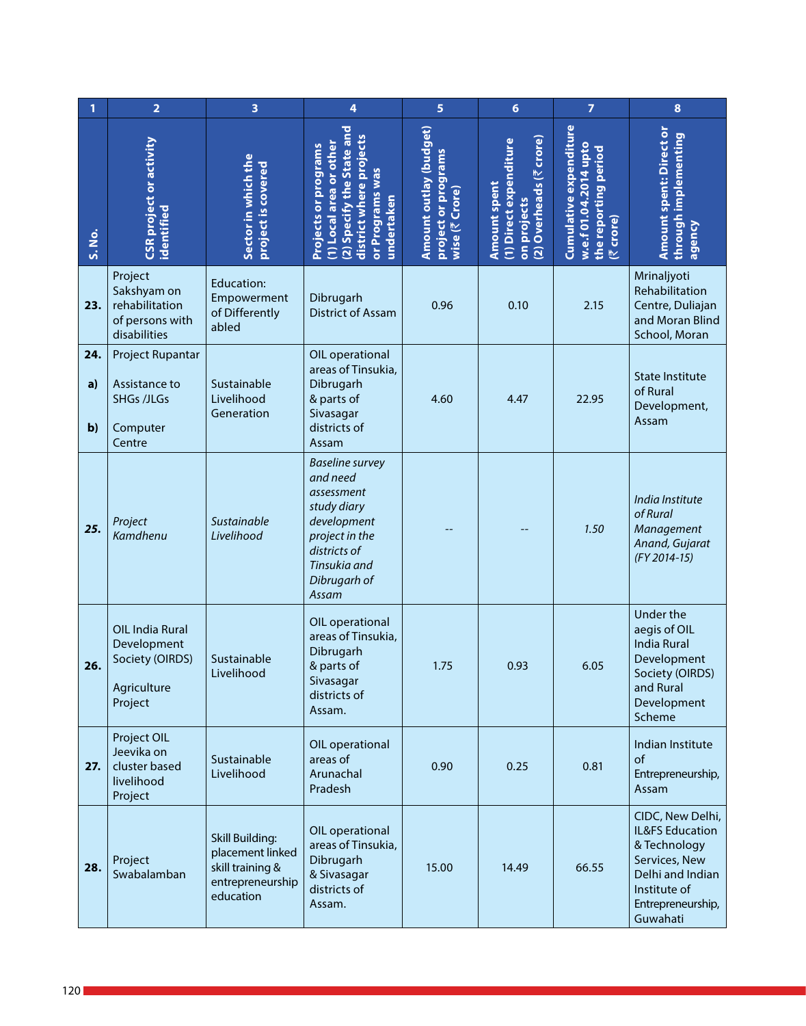| 1                         | $\overline{\mathbf{2}}$                                                      | 3                                                                                               | 4                                                                                                                                                         | $\overline{5}$                                                  | $6\phantom{1}6$                                                                         | $\overline{7}$                                                                         | $\bf8$                                                                                                                                    |
|---------------------------|------------------------------------------------------------------------------|-------------------------------------------------------------------------------------------------|-----------------------------------------------------------------------------------------------------------------------------------------------------------|-----------------------------------------------------------------|-----------------------------------------------------------------------------------------|----------------------------------------------------------------------------------------|-------------------------------------------------------------------------------------------------------------------------------------------|
| S. No.                    | CSR project or activity<br>identified                                        | Sector in which the<br>project is covered                                                       | 2) Specify the State and<br>projects<br>1) Local area or other<br><b>Projects or programs</b><br>or Programs was<br>district where<br>undertaken          | Amount outlay (budget)<br>project or programs<br>wise (₹ Crore) | (2) Overheads (₹ crore)<br>(1) Direct expenditure<br><b>Amount spent</b><br>on projects | Cumulative expenditure<br>w.e.f 01.04.2014 upto<br>the reporting period<br>crore)<br>忆 | <b>Amount spent: Direct or</b><br>through implementing<br>agency                                                                          |
| 23.                       | Project<br>Sakshyam on<br>rehabilitation<br>of persons with<br>disabilities  | Education:<br>Empowerment<br>of Differently<br>abled                                            | Dibrugarh<br><b>District of Assam</b>                                                                                                                     | 0.96                                                            | 0.10                                                                                    | 2.15                                                                                   | Mrinaljyoti<br>Rehabilitation<br>Centre, Duliajan<br>and Moran Blind<br>School, Moran                                                     |
| 24.<br>a)<br>$\mathbf{b}$ | Project Rupantar<br>Assistance to<br><b>SHGs /JLGs</b><br>Computer<br>Centre | Sustainable<br>Livelihood<br>Generation                                                         | OIL operational<br>areas of Tinsukia,<br>Dibrugarh<br>& parts of<br>Sivasagar<br>districts of<br>Assam                                                    | 4.60                                                            | 4.47                                                                                    | 22.95                                                                                  | <b>State Institute</b><br>of Rural<br>Development,<br>Assam                                                                               |
| 25.                       | Project<br>Kamdhenu                                                          | Sustainable<br>Livelihood                                                                       | <b>Baseline survey</b><br>and need<br>assessment<br>study diary<br>development<br>project in the<br>districts of<br>Tinsukia and<br>Dibrugarh of<br>Assam |                                                                 |                                                                                         | 1.50                                                                                   | India Institute<br>of Rural<br>Management<br>Anand, Gujarat<br>(FY 2014-15)                                                               |
| 26.                       | OIL India Rural<br>Development<br>Society (OIRDS)<br>Agriculture<br>Project  | Sustainable<br>Livelihood                                                                       | OIL operational<br>areas of Tinsukia,<br>Dibrugarh<br>& parts of<br>Sivasagar<br>districts of<br>Assam.                                                   | 1.75                                                            | 0.93                                                                                    | 6.05                                                                                   | Under the<br>aegis of OIL<br><b>India Rural</b><br>Development<br>Society (OIRDS)<br>and Rural<br>Development<br>Scheme                   |
| 27.                       | Project OIL<br>Jeevika on<br>cluster based<br>livelihood<br>Project          | Sustainable<br>Livelihood                                                                       | OIL operational<br>areas of<br>Arunachal<br>Pradesh                                                                                                       | 0.90                                                            | 0.25                                                                                    | 0.81                                                                                   | Indian Institute<br>of<br>Entrepreneurship,<br>Assam                                                                                      |
| 28.                       | Project<br>Swabalamban                                                       | <b>Skill Building:</b><br>placement linked<br>skill training &<br>entrepreneurship<br>education | OIL operational<br>areas of Tinsukia,<br>Dibrugarh<br>& Sivasagar<br>districts of<br>Assam.                                                               | 15.00                                                           | 14.49                                                                                   | 66.55                                                                                  | CIDC, New Delhi,<br>IL&FS Education<br>& Technology<br>Services, New<br>Delhi and Indian<br>Institute of<br>Entrepreneurship,<br>Guwahati |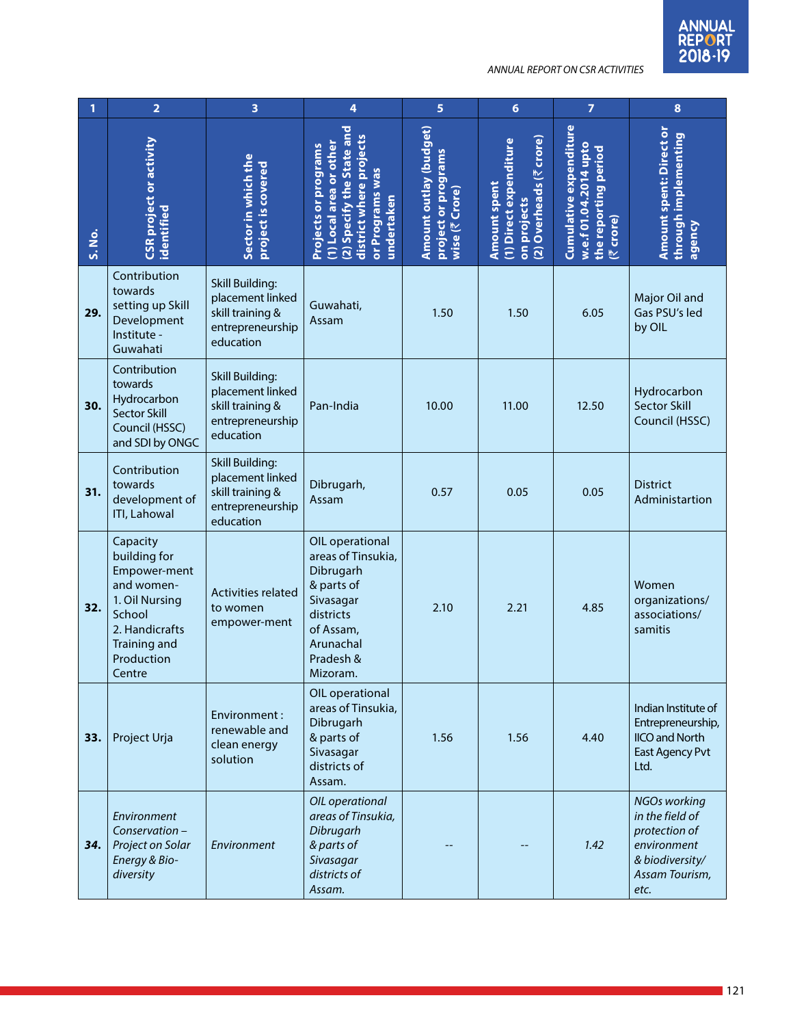| 1      | $\overline{\mathbf{2}}$                                                                                                                             | 3                                                                                               | 4                                                                                                                                             | 5                                                               | $6\phantom{1}$                                                                  | $\overline{7}$                                                                         | $\bf{8}$                                                                                                            |
|--------|-----------------------------------------------------------------------------------------------------------------------------------------------------|-------------------------------------------------------------------------------------------------|-----------------------------------------------------------------------------------------------------------------------------------------------|-----------------------------------------------------------------|---------------------------------------------------------------------------------|----------------------------------------------------------------------------------------|---------------------------------------------------------------------------------------------------------------------|
| S. No. | CSR project or activity<br>identified                                                                                                               | Sector in which the<br>project is covered                                                       | (2) Specify the State and<br>district where projects<br>(1) Local area or other<br>Projects or programs<br>or Programs was<br>undertaken      | Amount outlay (budget)<br>project or programs<br>wise (₹ Crore) | 2) Overheads (₹ crore)<br>(1) Direct expenditure<br>Amount spent<br>on projects | Cumulative expenditure<br>w.e.f 01.04.2014 upto<br>the reporting period<br>crore)<br>匹 | <b>Amount spent: Direct or</b><br>through implementing<br>agency                                                    |
| 29.    | Contribution<br>towards<br>setting up Skill<br>Development<br>Institute -<br>Guwahati                                                               | <b>Skill Building:</b><br>placement linked<br>skill training &<br>entrepreneurship<br>education | Guwahati,<br>Assam                                                                                                                            | 1.50                                                            | 1.50                                                                            | 6.05                                                                                   | Major Oil and<br>Gas PSU's led<br>by OIL                                                                            |
| 30.    | Contribution<br>towards<br>Hydrocarbon<br><b>Sector Skill</b><br>Council (HSSC)<br>and SDI by ONGC                                                  | <b>Skill Building:</b><br>placement linked<br>skill training &<br>entrepreneurship<br>education | Pan-India                                                                                                                                     | 10.00                                                           | 11.00                                                                           | 12.50                                                                                  | Hydrocarbon<br><b>Sector Skill</b><br>Council (HSSC)                                                                |
| 31.    | Contribution<br>towards<br>development of<br><b>ITI, Lahowal</b>                                                                                    | <b>Skill Building:</b><br>placement linked<br>skill training &<br>entrepreneurship<br>education | Dibrugarh,<br>Assam                                                                                                                           | 0.57                                                            | 0.05                                                                            | 0.05                                                                                   | <b>District</b><br>Administartion                                                                                   |
| 32.    | Capacity<br>building for<br>Empower-ment<br>and women-<br>1. Oil Nursing<br>School<br>2. Handicrafts<br><b>Training and</b><br>Production<br>Centre | Activities related<br>to women<br>empower-ment                                                  | OIL operational<br>areas of Tinsukia,<br>Dibrugarh<br>& parts of<br>Sivasagar<br>districts<br>of Assam,<br>Arunachal<br>Pradesh &<br>Mizoram. | 2.10                                                            | 2.21                                                                            | 4.85                                                                                   | Women<br>organizations/<br>associations/<br>samitis                                                                 |
| 33.    | Project Urja                                                                                                                                        | Environment:<br>renewable and<br>clean energy<br>solution                                       | OIL operational<br>areas of Tinsukia,<br>Dibrugarh<br>& parts of<br>Sivasagar<br>districts of<br>Assam.                                       | 1.56                                                            | 1.56                                                                            | 4.40                                                                                   | Indian Institute of<br>Entrepreneurship,<br><b>IICO</b> and North<br>East Agency Pvt<br>Ltd.                        |
| 34.    | Environment<br>Conservation-<br>Project on Solar<br>Energy & Bio-<br>diversity                                                                      | Environment                                                                                     | OIL operational<br>areas of Tinsukia,<br>Dibrugarh<br>& parts of<br>Sivasagar<br>districts of<br>Assam.                                       |                                                                 |                                                                                 | 1.42                                                                                   | <b>NGOs working</b><br>in the field of<br>protection of<br>environment<br>& biodiversity/<br>Assam Tourism,<br>etc. |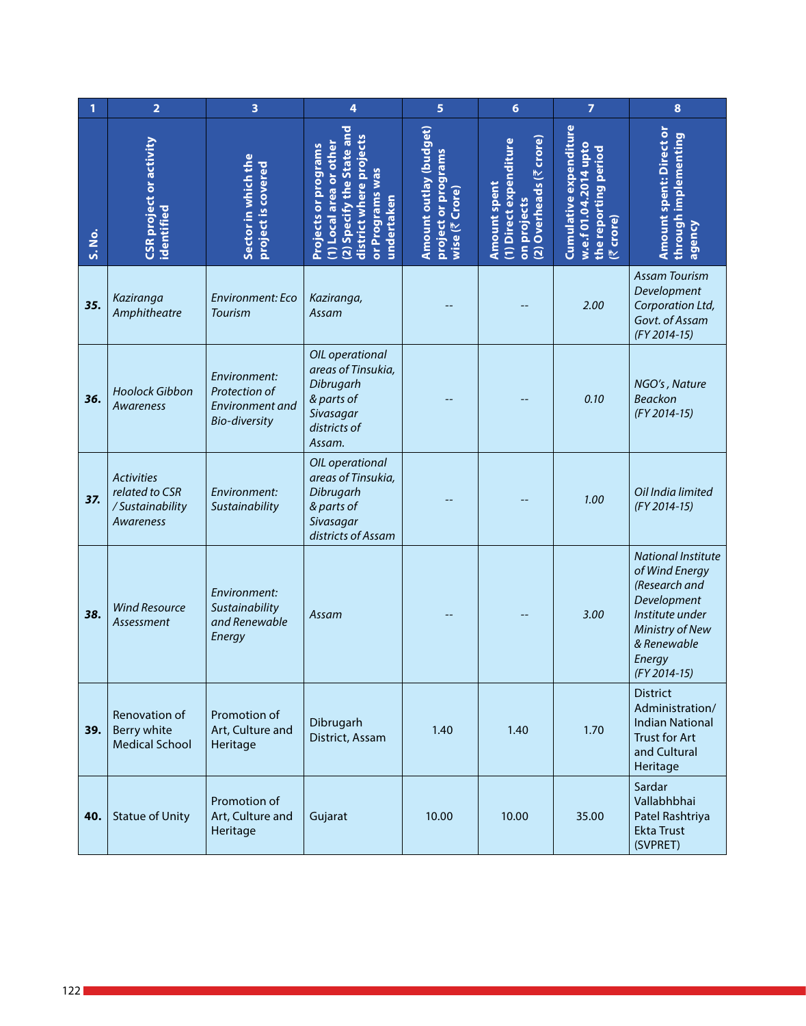| 1      | $\overline{\mathbf{2}}$                                             | 3                                                                        | 4                                                                                                                                              | 5                                                               | $6\phantom{1}6$                                                                  | $\overline{7}$                                                                         | $\pmb{8}$                                                                                                                                                  |
|--------|---------------------------------------------------------------------|--------------------------------------------------------------------------|------------------------------------------------------------------------------------------------------------------------------------------------|-----------------------------------------------------------------|----------------------------------------------------------------------------------|----------------------------------------------------------------------------------------|------------------------------------------------------------------------------------------------------------------------------------------------------------|
| S. No. | CSR project or activity<br>identified                               | Sector in which the<br>project is covered                                | (2) Specify the State and<br>district where projects<br>1) Local area or other<br><b>Projects or programs</b><br>or Programs was<br>undertaken | Amount outlay (budget)<br>project or programs<br>wise (₹ Crore) | (2) Overheads (₹ crore)<br>(1) Direct expenditure<br>Amount spent<br>on projects | Cumulative expenditure<br>w.e.f 01.04.2014 upto<br>the reporting period<br>crore)<br>忆 | <b>Amount spent: Direct or</b><br>through implementing<br>agency                                                                                           |
| 35.    | Kaziranga<br>Amphitheatre                                           | Environment: Eco<br><b>Tourism</b>                                       | Kaziranga,<br>Assam                                                                                                                            |                                                                 |                                                                                  | 2.00                                                                                   | <b>Assam Tourism</b><br>Development<br>Corporation Ltd,<br>Govt. of Assam<br>(FY 2014-15)                                                                  |
| 36.    | <b>Hoolock Gibbon</b><br>Awareness                                  | Environment:<br>Protection of<br>Environment and<br><b>Bio-diversity</b> | OIL operational<br>areas of Tinsukia,<br>Dibrugarh<br>& parts of<br>Sivasagar<br>districts of<br>Assam.                                        |                                                                 |                                                                                  | 0.10                                                                                   | NGO's, Nature<br><b>Beackon</b><br>(FY 2014-15)                                                                                                            |
| 37.    | <b>Activities</b><br>related to CSR<br>/Sustainability<br>Awareness | Environment:<br>Sustainability                                           | OIL operational<br>areas of Tinsukia,<br>Dibrugarh<br>& parts of<br>Sivasagar<br>districts of Assam                                            |                                                                 |                                                                                  | 1.00                                                                                   | Oil India limited<br>(FY 2014-15)                                                                                                                          |
| 38.    | <b>Wind Resource</b><br>Assessment                                  | Environment:<br>Sustainability<br>and Renewable<br>Energy                | Assam                                                                                                                                          |                                                                 |                                                                                  | 3.00                                                                                   | <b>National Institute</b><br>of Wind Energy<br>(Research and<br>Development<br>Institute under<br>Ministry of New<br>& Renewable<br>Energy<br>(FY 2014-15) |
| 39.    | Renovation of<br>Berry white<br><b>Medical School</b>               | Promotion of<br>Art, Culture and<br>Heritage                             | Dibrugarh<br>District, Assam                                                                                                                   | 1.40                                                            | 1.40                                                                             | 1.70                                                                                   | <b>District</b><br>Administration/<br><b>Indian National</b><br><b>Trust for Art</b><br>and Cultural<br>Heritage                                           |
| 40.    | <b>Statue of Unity</b>                                              | Promotion of<br>Art, Culture and<br>Heritage                             | Gujarat                                                                                                                                        | 10.00                                                           | 10.00                                                                            | 35.00                                                                                  | Sardar<br>Vallabhbhai<br>Patel Rashtriya<br><b>Ekta Trust</b><br>(SVPRET)                                                                                  |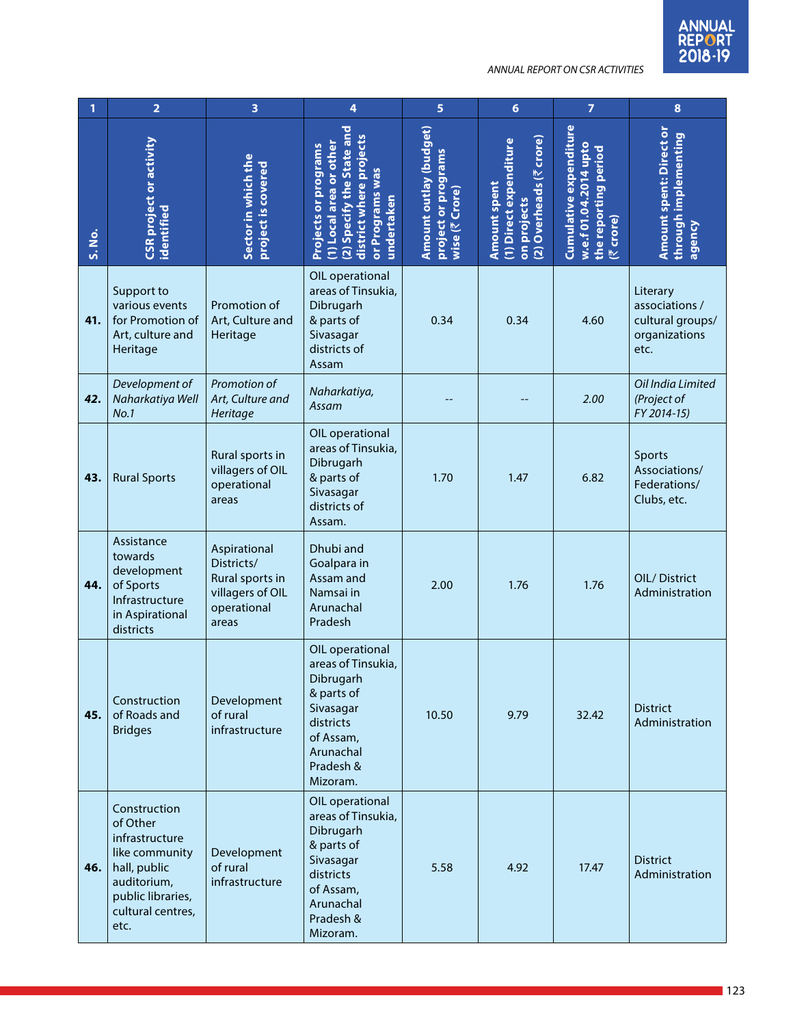|        | $\overline{\mathbf{2}}$                                                                                                                       | 3                                                                                         | 4                                                                                                                                             | 5                                                               | $6\phantom{1}$                                                                  | $\overline{7}$                                                                                | $\bf{8}$                                                                |
|--------|-----------------------------------------------------------------------------------------------------------------------------------------------|-------------------------------------------------------------------------------------------|-----------------------------------------------------------------------------------------------------------------------------------------------|-----------------------------------------------------------------|---------------------------------------------------------------------------------|-----------------------------------------------------------------------------------------------|-------------------------------------------------------------------------|
| S. No. | <b>CSR</b> project or activity<br>identified                                                                                                  | Sector in which the<br>project is covered                                                 | (2) Specify the State and<br>district where projects<br>(1) Local area or other<br>Projects or programs<br>or Programs was<br>undertaken      | Amount outlay (budget)<br>project or programs<br>wise (₹ Crore) | 2) Overheads (₹ crore)<br>(1) Direct expenditure<br>Amount spent<br>on projects | <b>Cumulative expenditure</b><br>w.e.f 01.04.2014 upto<br>the reporting period<br>crore)<br>贮 | <b>Amount spent: Direct or</b><br>through implementing<br>agency        |
| 41.    | Support to<br>various events<br>for Promotion of<br>Art, culture and<br>Heritage                                                              | Promotion of<br>Art, Culture and<br>Heritage                                              | OIL operational<br>areas of Tinsukia,<br>Dibrugarh<br>& parts of<br>Sivasagar<br>districts of<br>Assam                                        | 0.34                                                            | 0.34                                                                            | 4.60                                                                                          | Literary<br>associations /<br>cultural groups/<br>organizations<br>etc. |
| 42.    | Development of<br>Naharkatiya Well<br>No.1                                                                                                    | Promotion of<br>Art, Culture and<br>Heritage                                              | Naharkatiya,<br>Assam                                                                                                                         |                                                                 |                                                                                 | 2.00                                                                                          | Oil India Limited<br>(Project of<br>FY 2014-15)                         |
| 43.    | <b>Rural Sports</b>                                                                                                                           | Rural sports in<br>villagers of OIL<br>operational<br>areas                               | OIL operational<br>areas of Tinsukia,<br>Dibrugarh<br>& parts of<br>Sivasagar<br>districts of<br>Assam.                                       | 1.70                                                            | 1.47                                                                            | 6.82                                                                                          | Sports<br>Associations/<br>Federations/<br>Clubs, etc.                  |
| 44.    | Assistance<br>towards<br>development<br>of Sports<br>Infrastructure<br>in Aspirational<br>districts                                           | Aspirational<br>Districts/<br>Rural sports in<br>villagers of OIL<br>operational<br>areas | Dhubi and<br>Goalpara in<br>Assam and<br>Namsai in<br>Arunachal<br>Pradesh                                                                    | 2.00                                                            | 1.76                                                                            | 1.76                                                                                          | OIL/District<br>Administration                                          |
| 45.    | Construction<br>of Roads and<br><b>Bridges</b>                                                                                                | Development<br>of rural<br>infrastructure                                                 | OIL operational<br>areas of Tinsukia,<br>Dibrugarh<br>& parts of<br>Sivasagar<br>districts<br>of Assam,<br>Arunachal<br>Pradesh &<br>Mizoram. | 10.50                                                           | 9.79                                                                            | 32.42                                                                                         | <b>District</b><br>Administration                                       |
| 46.    | Construction<br>of Other<br>infrastructure<br>like community<br>hall, public<br>auditorium,<br>public libraries,<br>cultural centres,<br>etc. | Development<br>of rural<br>infrastructure                                                 | OIL operational<br>areas of Tinsukia,<br>Dibrugarh<br>& parts of<br>Sivasagar<br>districts<br>of Assam,<br>Arunachal<br>Pradesh &<br>Mizoram. | 5.58                                                            | 4.92                                                                            | 17.47                                                                                         | <b>District</b><br>Administration                                       |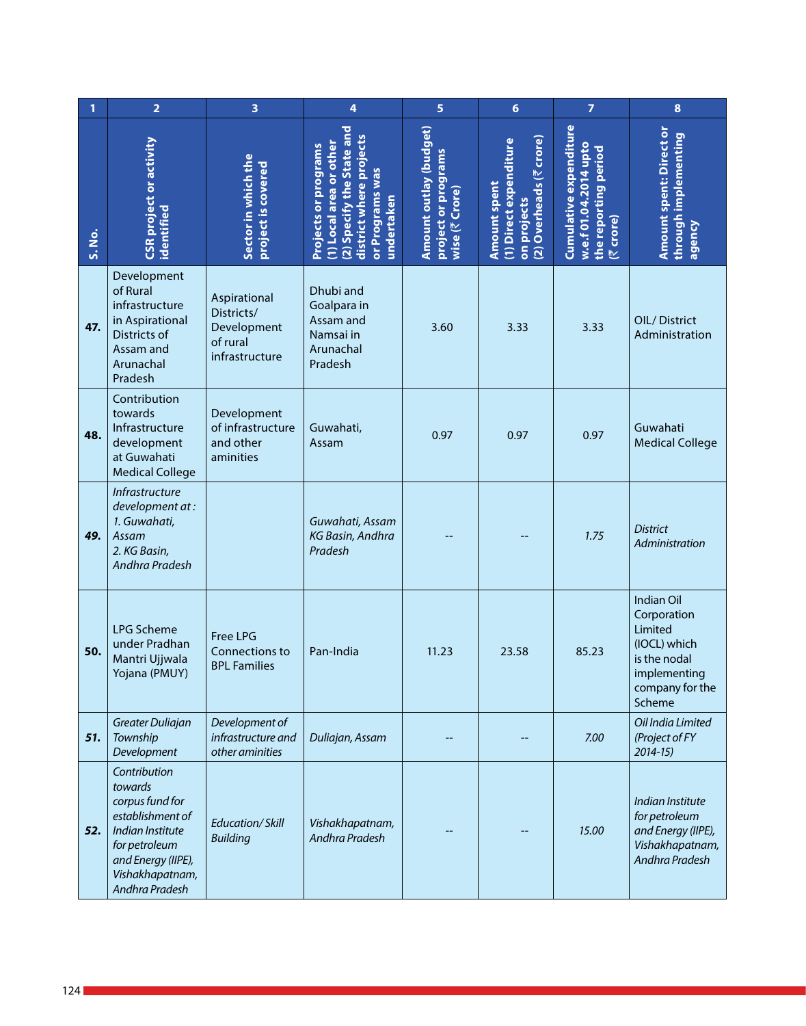| 1      | $\overline{2}$                                                                                                                                                 | 3                                                                       | 4                                                                                                                                               | 5                                                               | $6\phantom{1}$                                                                          | $\overline{7}$                                                                              | $\bf{8}$                                                                                                          |
|--------|----------------------------------------------------------------------------------------------------------------------------------------------------------------|-------------------------------------------------------------------------|-------------------------------------------------------------------------------------------------------------------------------------------------|-----------------------------------------------------------------|-----------------------------------------------------------------------------------------|---------------------------------------------------------------------------------------------|-------------------------------------------------------------------------------------------------------------------|
| S. No. | CSR project or activity<br>identified                                                                                                                          | Sector in which the<br>project is covered                               | (2) Specify the State and<br>district where projects<br>(1) Local area or other<br><b>Projects or programs</b><br>or Programs was<br>undertaken | Amount outlay (budget)<br>project or programs<br>wise (₹ Crore) | (2) Overheads (₹ crore)<br>(1) Direct expenditure<br><b>Amount spent</b><br>on projects | <b>Cumulative expenditure</b><br>w.e.f 01.04.2014 upto<br>the reporting period<br>(₹ crore) | Amount spent: Direct or<br>through implementing<br>agency                                                         |
| 47.    | Development<br>of Rural<br>infrastructure<br>in Aspirational<br>Districts of<br>Assam and<br>Arunachal<br>Pradesh                                              | Aspirational<br>Districts/<br>Development<br>of rural<br>infrastructure | Dhubi and<br>Goalpara in<br>Assam and<br>Namsai in<br>Arunachal<br>Pradesh                                                                      | 3.60                                                            | 3.33                                                                                    | 3.33                                                                                        | OIL/District<br>Administration                                                                                    |
| 48.    | Contribution<br>towards<br>Infrastructure<br>development<br>at Guwahati<br><b>Medical College</b>                                                              | Development<br>of infrastructure<br>and other<br>aminities              | Guwahati,<br>Assam                                                                                                                              | 0.97                                                            | 0.97                                                                                    | 0.97                                                                                        | Guwahati<br><b>Medical College</b>                                                                                |
| 49.    | <b>Infrastructure</b><br>development at:<br>1. Guwahati,<br>Assam<br>2. KG Basin,<br>Andhra Pradesh                                                            |                                                                         | Guwahati, Assam<br>KG Basin, Andhra<br>Pradesh                                                                                                  |                                                                 |                                                                                         | 1.75                                                                                        | <b>District</b><br>Administration                                                                                 |
| 50.    | <b>LPG Scheme</b><br>under Pradhan<br>Mantri Ujjwala<br>Yojana (PMUY)                                                                                          | <b>Free LPG</b><br>Connections to<br><b>BPL Families</b>                | Pan-India                                                                                                                                       | 11.23                                                           | 23.58                                                                                   | 85.23                                                                                       | Indian Oil<br>Corporation<br>Limited<br>(IOCL) which<br>is the nodal<br>implementing<br>company for the<br>Scheme |
| 51.    | Greater Duliajan<br>Township<br>Development                                                                                                                    | Development of<br>infrastructure and<br>other aminities                 | Duliajan, Assam                                                                                                                                 |                                                                 |                                                                                         | 7.00                                                                                        | Oil India Limited<br>(Project of FY<br>$2014 - 15$                                                                |
| 52.    | Contribution<br>towards<br>corpus fund for<br>establishment of<br>Indian Institute<br>for petroleum<br>and Energy (IIPE),<br>Vishakhapatnam,<br>Andhra Pradesh | Education/Skill<br><b>Building</b>                                      | Vishakhapatnam,<br>Andhra Pradesh                                                                                                               |                                                                 |                                                                                         | 15.00                                                                                       | Indian Institute<br>for petroleum<br>and Energy (IIPE),<br>Vishakhapatnam,<br>Andhra Pradesh                      |